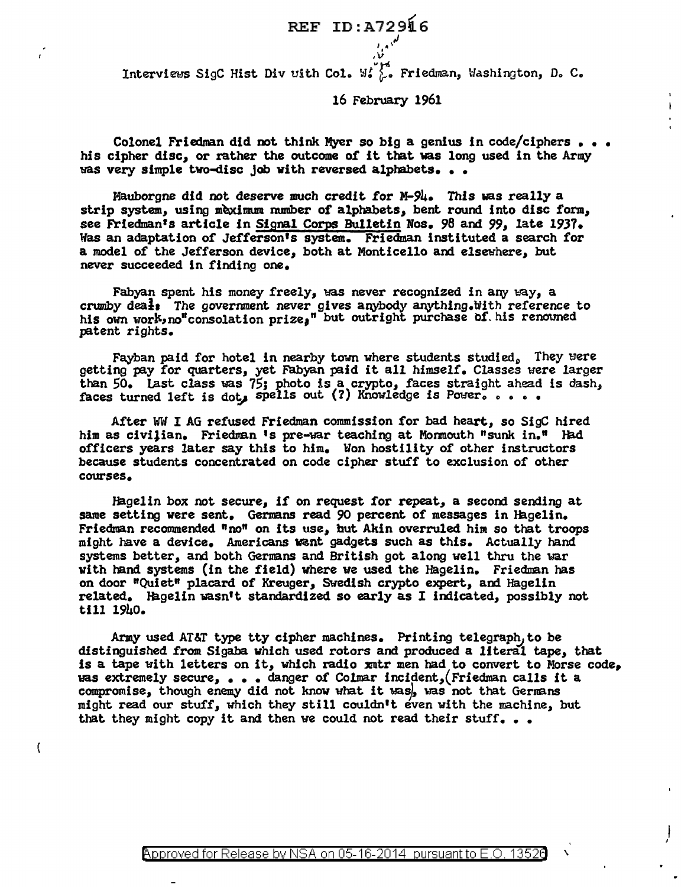REF ID:A729l6 نعلى و

Interviews SigC Hist Div uith Col. W.  $\int_0^1$ . Friedman, Washington, D. C.

16 February 1961

*,v* 

Colonel Friedman did not think Myer so big a genius in code/ciphers • • • his cipher disc, or rather the outcome of it that was long used in the Army was very simple two-disc job with reversed alphabets...

Mauborgne did not deserve much credit for M-94. This was really a strip system, using meximum number of alphabets, bent round into disc form, see Friedman's article in Signal Corps Bulletin Nos. 98 and 99, late 1937. Was an adaptation of Jefferson's system. Friedman instituted a search for a model of the Jefferson device, both at Monticello and elsewhere, but never succeeded in finding one.

Fabyan spent his money freely, was never recognized in any way, a crumby deals The government never gives anybody anything.Hith reference to his own work, no"consolation prize," but outright purchase of his renouned patent rights.

Fayban paid for hotel in nearby town where students studied. They were getting pay for quarters, yet Fabyan paid it all himself. Classes were larger than 50. Last class was 75; photo is a crypto, faces straight ahead is dash, faces turned left is dot, spells out (?) Knowledge is Power.  $\ldots$ .

After WW I AG refused Friedman commission for bad heart, so SigC hired him as civilian. Friedman 's pre-war teaching at Mormouth "sunk in." Had officers years later say this to him. Won hostility of other instructors because students concentrated on code cipher stuff to exclusion of other courses.

Hagelin box not secure, if on request for repeat, a second sending at same setting were sent. Germans read 90 percent of messages in Hagelin. Friedman recommended "no" on its use, but Akin overruled him so that troops might have a device. Americans want gadgets such as this. Actually hand systems better, and both Germans and British got along well thru the war with hand systems (in the field) where we used the Hagelin. Friedman has on door "Quiet" placard of Kreuger, Swedish crypto expert, and Hagelin related. Hagelin wasn't standardized so early as I indicated, possibly not till 1940.

Army used AT&T type tty cipher machines. Printing telegraph, to be distinguished from Sigaba which used rotors and produced a literal tape, that is a tape with letters on it, which radio xmtr men had to convert to Morse code, "Has extremely secure, • • • danger *of* Colmar incident,,(Friedman calls it a compromise, though enemy did not know vhat it *ms),* ws not that Gernans might read our stuff, which they still couldn't even with the machine, but that they might copy it and then we could not read their stuff...

 $\overline{\mathbf{r}}$ 

 $\cdot$ 

 $\mathbf{I}$